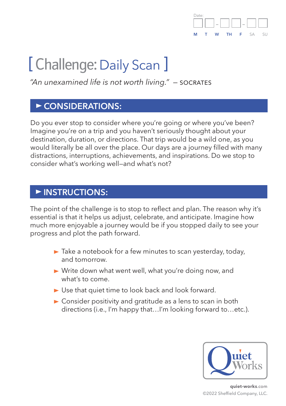

# [ Challenge: Daily Scan ]

*"An unexamined life is not worth living." —* socrates

### **CONSIDERATIONS:**

Do you ever stop to consider where you're going or where you've been? Imagine you're on a trip and you haven't seriously thought about your destination, duration, or directions. That trip would be a wild one, as you would literally be all over the place. Our days are a journey filled with many distractions, interruptions, achievements, and inspirations. Do we stop to consider what's working well—and what's not?

## **INSTRUCTIONS:**

The point of the challenge is to stop to reflect and plan. The reason why it's essential is that it helps us adjust, celebrate, and anticipate. Imagine how much more enjoyable a journey would be if you stopped daily to see your progress and plot the path forward.

- $\blacktriangleright$  Take a notebook for a few minutes to scan yesterday, today, and tomorrow.
- ▶ Write down what went well, what you're doing now, and what's to come.
- ► Use that quiet time to look back and look forward.
- ► Consider positivity and gratitude as a lens to scan in both directions (i.e., I'm happy that…I'm looking forward to…etc.).